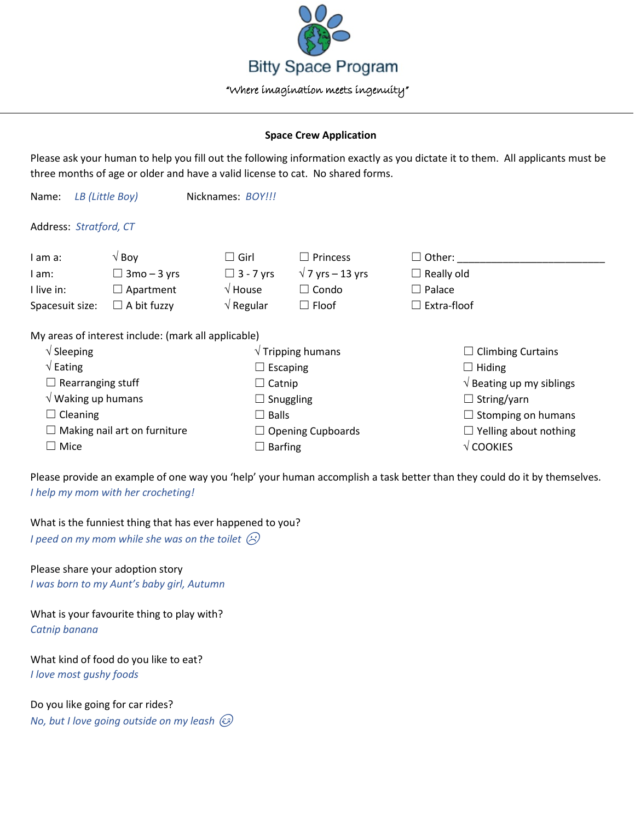

## **Space Crew Application**

Please ask your human to help you fill out the following information exactly as you dictate it to them. All applicants must be three months of age or older and have a valid license to cat. No shared forms.

|                                             | Nicknames: BOY !!!                                           |                                                     |                                                                                                      |
|---------------------------------------------|--------------------------------------------------------------|-----------------------------------------------------|------------------------------------------------------------------------------------------------------|
|                                             |                                                              |                                                     |                                                                                                      |
| $\sqrt{8}$ Boy                              | $\Box$ Girl                                                  | Princess<br>$\vert \ \ \vert$                       | $\Box$ Other:                                                                                        |
| $\Box$ 3mo – 3 yrs                          | $\Box$ 3 - 7 yrs                                             | $\sqrt{7}$ yrs – 13 yrs                             | $\Box$ Really old                                                                                    |
| $\Box$ Apartment                            | $\sqrt{}$ House                                              | $\Box$ Condo                                        | $\Box$ Palace                                                                                        |
| $\Box$ A bit fuzzy                          | $\sqrt{ }$ Regular                                           | $\Box$ Floof                                        | $\Box$ Extra-floof                                                                                   |
|                                             |                                                              |                                                     |                                                                                                      |
| $\sqrt{\phantom{a}}$ Sleeping               |                                                              |                                                     | $\Box$ Climbing Curtains                                                                             |
| $\sqrt{\mathsf{Eating}}$<br>$\Box$ Escaping |                                                              | $\Box$ Hiding                                       |                                                                                                      |
| $\Box$ Rearranging stuff<br>$\Box$ Catnip   |                                                              | $\sqrt{ }$ Beating up my siblings                   |                                                                                                      |
| $\sqrt{}$ Waking up humans                  |                                                              |                                                     | $\Box$ String/yarn                                                                                   |
| $\Box$ Cleaning                             |                                                              |                                                     | $\Box$ Stomping on humans                                                                            |
| $\Box$ Making nail art on furniture         |                                                              |                                                     | $\Box$ Yelling about nothing                                                                         |
| $\Box$ Mice                                 |                                                              |                                                     | $\sqrt{\text{COOKIES}}$                                                                              |
|                                             | LB (Little Boy)<br>Address: Stratford, CT<br>Spacesuit size: | My areas of interest include: (mark all applicable) | $\sqrt{}$ Tripping humans<br>$\Box$ Snuggling<br>$\Box$ Balls<br>$\Box$ Opening Cupboards<br>Barfing |

Please provide an example of one way you 'help' your human accomplish a task better than they could do it by themselves. *I help my mom with her crocheting!*

What is the funniest thing that has ever happened to you?

*I* peed on my mom while she was on the toilet  $\mathcal{D}$ 

Please share your adoption story *I was born to my Aunt's baby girl, Autumn*

What is your favourite thing to play with? *Catnip banana*

What kind of food do you like to eat? *I love most gushy foods*

Do you like going for car rides? *No, but I love going outside on my leash*